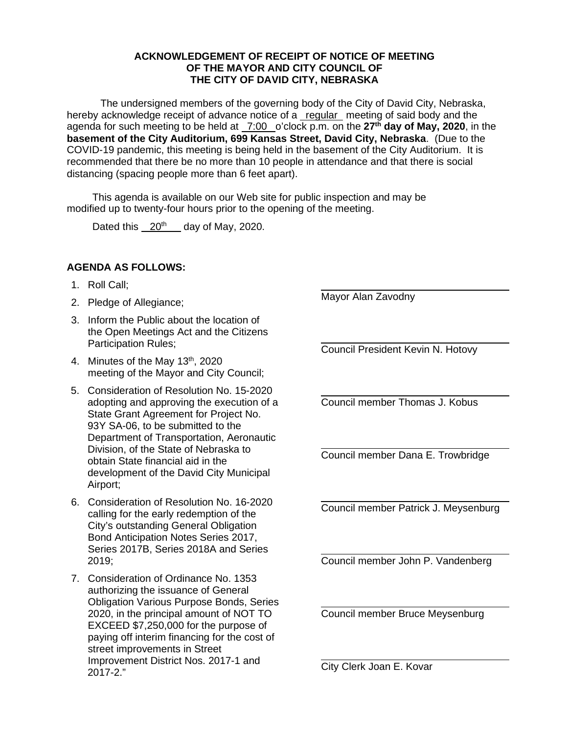## **ACKNOWLEDGEMENT OF RECEIPT OF NOTICE OF MEETING OF THE MAYOR AND CITY COUNCIL OF THE CITY OF DAVID CITY, NEBRASKA**

The undersigned members of the governing body of the City of David City, Nebraska, hereby acknowledge receipt of advance notice of a regular meeting of said body and the agenda for such meeting to be held at 7:00 o'clock p.m. on the **27th day of May, 2020**, in the **basement of the City Auditorium, 699 Kansas Street, David City, Nebraska**. (Due to the COVID-19 pandemic, this meeting is being held in the basement of the City Auditorium. It is recommended that there be no more than 10 people in attendance and that there is social distancing (spacing people more than 6 feet apart).

This agenda is available on our Web site for public inspection and may be modified up to twenty-four hours prior to the opening of the meeting.

Dated this  $20<sup>th</sup>$  day of May, 2020.

## **AGENDA AS FOLLOWS:**

- 1. Roll Call;
- 2. Pledge of Allegiance;
- 3. Inform the Public about the location of the Open Meetings Act and the Citizens Participation Rules;
- 4. Minutes of the May  $13<sup>th</sup>$ , 2020 meeting of the Mayor and City Council;
- 5. Consideration of Resolution No. 15-2020 adopting and approving the execution of a State Grant Agreement for Project No. 93Y SA-06, to be submitted to the Department of Transportation, Aeronautic Division, of the State of Nebraska to obtain State financial aid in the development of the David City Municipal Airport;
- 6. Consideration of Resolution No. 16-2020 calling for the early redemption of the City's outstanding General Obligation Bond Anticipation Notes Series 2017, Series 2017B, Series 2018A and Series  $2019$
- 7. Consideration of Ordinance No. 1353 authorizing the issuance of General Obligation Various Purpose Bonds, Series 2020, in the principal amount of NOT TO EXCEED \$7,250,000 for the purpose of paying off interim financing for the cost of street improvements in Street Improvement District Nos. 2017-1 and 2017-2."

 $\overline{\phantom{a}}$ Mayor Alan Zavodny

 $\overline{\phantom{a}}$ 

 $\overline{\phantom{a}}$ 

 $\overline{\phantom{a}}$ 

 $\overline{\phantom{a}}$ Council President Kevin N. Hotovy

l Council member Thomas J. Kobus

Council member Dana E. Trowbridge

Council member Patrick J. Meysenburg

l Council member John P. Vandenberg

Council member Bruce Meysenburg

City Clerk Joan E. Kovar